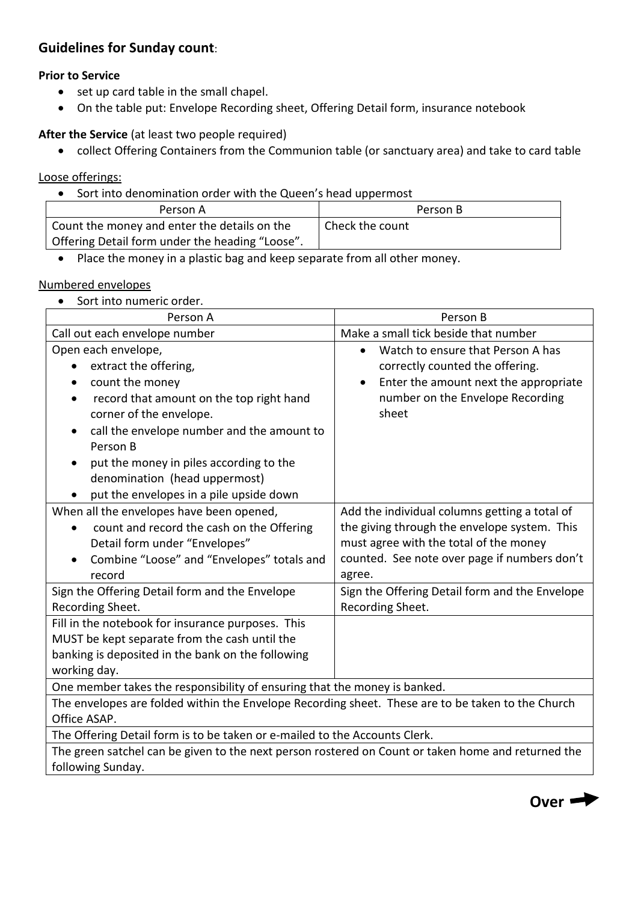# **Guidelines for Sunday count**:

# **Prior to Service**

- set up card table in the small chapel.
- On the table put: Envelope Recording sheet, Offering Detail form, insurance notebook

# **After the Service** (at least two people required)

• collect Offering Containers from the Communion table (or sanctuary area) and take to card table

### Loose offerings:

• Sort into denomination order with the Queen's head uppermost

| Person A                                        | Person B        |
|-------------------------------------------------|-----------------|
| Count the money and enter the details on the    | Check the count |
| Offering Detail form under the heading "Loose". |                 |

• Place the money in a plastic bag and keep separate from all other money.

#### Numbered envelopes

• Sort into numeric order.

| Person A                                                                                                                                                                                                                                                                                                                                                                    | Person B                                                                                                                                                                                                                                            |
|-----------------------------------------------------------------------------------------------------------------------------------------------------------------------------------------------------------------------------------------------------------------------------------------------------------------------------------------------------------------------------|-----------------------------------------------------------------------------------------------------------------------------------------------------------------------------------------------------------------------------------------------------|
| Call out each envelope number                                                                                                                                                                                                                                                                                                                                               | Make a small tick beside that number                                                                                                                                                                                                                |
| Open each envelope,<br>extract the offering,<br>count the money<br>$\bullet$<br>record that amount on the top right hand<br>$\bullet$<br>corner of the envelope.<br>call the envelope number and the amount to<br>$\bullet$<br>Person B<br>put the money in piles according to the<br>$\bullet$<br>denomination (head uppermost)<br>put the envelopes in a pile upside down | Watch to ensure that Person A has<br>$\bullet$<br>correctly counted the offering.<br>Enter the amount next the appropriate<br>$\bullet$<br>number on the Envelope Recording<br>sheet                                                                |
| When all the envelopes have been opened,<br>count and record the cash on the Offering<br>Detail form under "Envelopes"<br>Combine "Loose" and "Envelopes" totals and<br>record<br>Sign the Offering Detail form and the Envelope                                                                                                                                            | Add the individual columns getting a total of<br>the giving through the envelope system. This<br>must agree with the total of the money<br>counted. See note over page if numbers don't<br>agree.<br>Sign the Offering Detail form and the Envelope |
| Recording Sheet.                                                                                                                                                                                                                                                                                                                                                            | Recording Sheet.                                                                                                                                                                                                                                    |
| Fill in the notebook for insurance purposes. This<br>MUST be kept separate from the cash until the<br>banking is deposited in the bank on the following<br>working day.                                                                                                                                                                                                     |                                                                                                                                                                                                                                                     |
| One member takes the responsibility of ensuring that the money is banked.                                                                                                                                                                                                                                                                                                   |                                                                                                                                                                                                                                                     |
| The envelopes are folded within the Envelope Recording sheet. These are to be taken to the Church<br>Office ASAP.                                                                                                                                                                                                                                                           |                                                                                                                                                                                                                                                     |
| The Offering Detail form is to be taken or e-mailed to the Accounts Clerk.                                                                                                                                                                                                                                                                                                  |                                                                                                                                                                                                                                                     |
| The green satchel can be given to the next person rostered on Count or taken home and returned the                                                                                                                                                                                                                                                                          |                                                                                                                                                                                                                                                     |
| following Sunday.                                                                                                                                                                                                                                                                                                                                                           |                                                                                                                                                                                                                                                     |